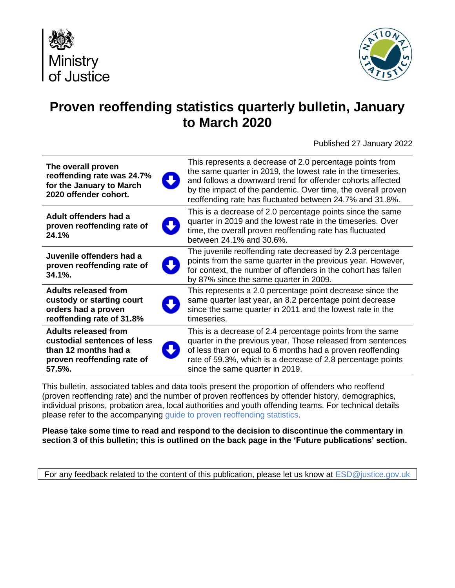



# **Proven reoffending statistics quarterly bulletin, January to March 2020**

Published 27 January 2022

| The overall proven                                                   | This represents a decrease of 2.0 percentage points from                                                                                                                                                                            |
|----------------------------------------------------------------------|-------------------------------------------------------------------------------------------------------------------------------------------------------------------------------------------------------------------------------------|
| reoffending rate was 24.7%                                           | the same quarter in 2019, the lowest rate in the timeseries,                                                                                                                                                                        |
| $\overline{\mathbf{v}}$                                              | and follows a downward trend for offender cohorts affected                                                                                                                                                                          |
| for the January to March                                             | by the impact of the pandemic. Over time, the overall proven                                                                                                                                                                        |
| 2020 offender cohort.                                                | reoffending rate has fluctuated between 24.7% and 31.8%.                                                                                                                                                                            |
| Adult offenders had a<br>proven reoffending rate of<br>24.1%         | This is a decrease of 2.0 percentage points since the same<br>quarter in 2019 and the lowest rate in the timeseries. Over<br>time, the overall proven reoffending rate has fluctuated<br>between 24.1% and 30.6%.                   |
| Juvenile offenders had a<br>proven reoffending rate of<br>$34.1\%$ . | The juvenile reoffending rate decreased by 2.3 percentage<br>points from the same quarter in the previous year. However,<br>for context, the number of offenders in the cohort has fallen<br>by 87% since the same quarter in 2009. |
| Adults released from                                                 | This represents a 2.0 percentage point decrease since the                                                                                                                                                                           |
| custody or starting court                                            | same quarter last year, an 8.2 percentage point decrease                                                                                                                                                                            |
| orders had a proven                                                  | since the same quarter in 2011 and the lowest rate in the                                                                                                                                                                           |
| reoffending rate of 31.8%                                            | timeseries.                                                                                                                                                                                                                         |
| <b>Adults released from</b>                                          | This is a decrease of 2.4 percentage points from the same                                                                                                                                                                           |
| custodial sentences of less                                          | quarter in the previous year. Those released from sentences                                                                                                                                                                         |
| than 12 months had a                                                 | of less than or equal to 6 months had a proven reoffending                                                                                                                                                                          |
| proven reoffending rate of                                           | rate of 59.3%, which is a decrease of 2.8 percentage points                                                                                                                                                                         |
| 57.5%.                                                               | since the same quarter in 2019.                                                                                                                                                                                                     |

This bulletin, associated tables and data tools present the proportion of offenders who reoffend (proven reoffending rate) and the number of proven reoffences by offender history, demographics, individual prisons, probation area, local authorities and youth offending teams. For technical details please refer to the accompanying [guide to proven reoffending statistics.](https://assets.publishing.service.gov.uk/government/uploads/system/uploads/attachment_data/file/820674/guide-to-proven-reoffending-statistics-Jan22.pdf)

**Please take some time to read and respond to the decision to discontinue the commentary in section 3 of this bulletin; this is outlined on the back page in the 'Future publications' section.**

For any feedback related to the content of this publication, please let us know at [ESD@justice.gov.uk](mailto:ESD@justice.gov.uk)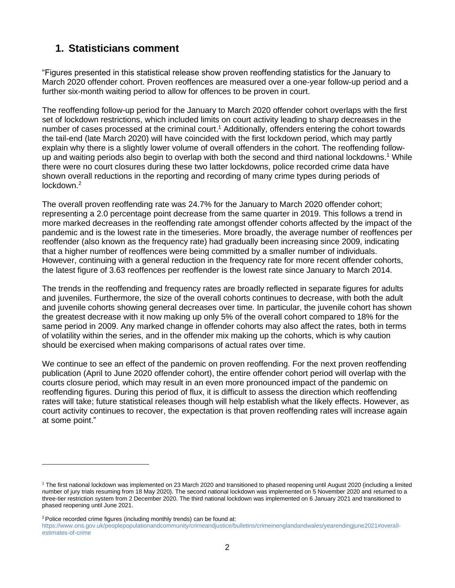## **1. Statisticians comment**

"Figures presented in this statistical release show proven reoffending statistics for the January to March 2020 offender cohort. Proven reoffences are measured over a one-year follow-up period and a further six-month waiting period to allow for offences to be proven in court.

The reoffending follow-up period for the January to March 2020 offender cohort overlaps with the first set of lockdown restrictions, which included limits on court activity leading to sharp decreases in the number of cases processed at the criminal court.<sup>1</sup> Additionally, offenders entering the cohort towards the tail-end (late March 2020) will have coincided with the first lockdown period, which may partly explain why there is a slightly lower volume of overall offenders in the cohort. The reoffending followup and waiting periods also begin to overlap with both the second and third national lockdowns. <sup>1</sup> While there were no court closures during these two latter lockdowns, police recorded crime data have shown overall reductions in the reporting and recording of many crime types during periods of lockdown. 2

The overall proven reoffending rate was 24.7% for the January to March 2020 offender cohort; representing a 2.0 percentage point decrease from the same quarter in 2019. This follows a trend in more marked decreases in the reoffending rate amongst offender cohorts affected by the impact of the pandemic and is the lowest rate in the timeseries. More broadly, the average number of reoffences per reoffender (also known as the frequency rate) had gradually been increasing since 2009, indicating that a higher number of reoffences were being committed by a smaller number of individuals. However, continuing with a general reduction in the frequency rate for more recent offender cohorts, the latest figure of 3.63 reoffences per reoffender is the lowest rate since January to March 2014.

The trends in the reoffending and frequency rates are broadly reflected in separate figures for adults and juveniles. Furthermore, the size of the overall cohorts continues to decrease, with both the adult and juvenile cohorts showing general decreases over time. In particular, the juvenile cohort has shown the greatest decrease with it now making up only 5% of the overall cohort compared to 18% for the same period in 2009. Any marked change in offender cohorts may also affect the rates, both in terms of volatility within the series, and in the offender mix making up the cohorts, which is why caution should be exercised when making comparisons of actual rates over time.

We continue to see an effect of the pandemic on proven reoffending. For the next proven reoffending publication (April to June 2020 offender cohort), the entire offender cohort period will overlap with the courts closure period, which may result in an even more pronounced impact of the pandemic on reoffending figures. During this period of flux, it is difficult to assess the direction which reoffending rates will take; future statistical releases though will help establish what the likely effects. However, as court activity continues to recover, the expectation is that proven reoffending rates will increase again at some point."

<sup>&</sup>lt;sup>1</sup> The first national lockdown was implemented on 23 March 2020 and transitioned to phased reopening until August 2020 (including a limited number of jury trials resuming from 18 May 2020). The second national lockdown was implemented on 5 November 2020 and returned to a three-tier restriction system from 2 December 2020. The third national lockdown was implemented on 6 January 2021 and transitioned to phased reopening until June 2021.

<sup>&</sup>lt;sup>2</sup> Police recorded crime figures (including monthly trends) can be found at:

https://www.ons.gov.uk/peoplepopulationandcommunity/crimeandjustice/bulletins/crimeinenglandandwales/yearendingjune2021#overallestimates-of-crime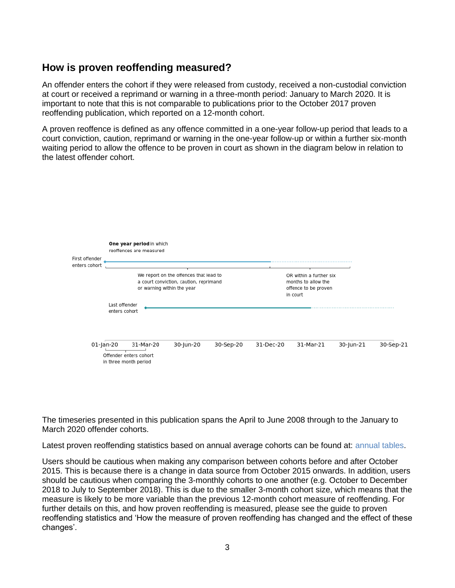## **How is proven reoffending measured?**

An offender enters the cohort if they were released from custody, received a non-custodial conviction at court or received a reprimand or warning in a three-month period: January to March 2020. It is important to note that this is not comparable to publications prior to the October 2017 proven reoffending publication, which reported on a 12-month cohort.

A proven reoffence is defined as any offence committed in a one-year follow-up period that leads to a court conviction, caution, reprimand or warning in the one-year follow-up or within a further six-month waiting period to allow the offence to be proven in court as shown in the diagram below in relation to the latest offender cohort.



The timeseries presented in this publication spans the April to June 2008 through to the January to March 2020 offender cohorts.

Latest proven reoffending statistics based on annual average cohorts can be found at: [annual tables.](https://assets.publishing.service.gov.uk/government/uploads/system/uploads/attachment_data/file/989447/Proven-reoffending-jan20-mar20-annual_tables_FINAL.ods)

Users should be cautious when making any comparison between cohorts before and after October 2015. This is because there is a change in data source from October 2015 onwards. In addition, users should be cautious when comparing the 3-monthly cohorts to one another (e.g. October to December 2018 to July to September 2018). This is due to the smaller 3-month cohort size, which means that the measure is likely to be more variable than the previous 12-month cohort measure of reoffending. For further details on this, and how proven reoffending is measured, please see the guide to proven reoffending statistics and 'How the measure of proven reoffending has changed and the effect of these changes'.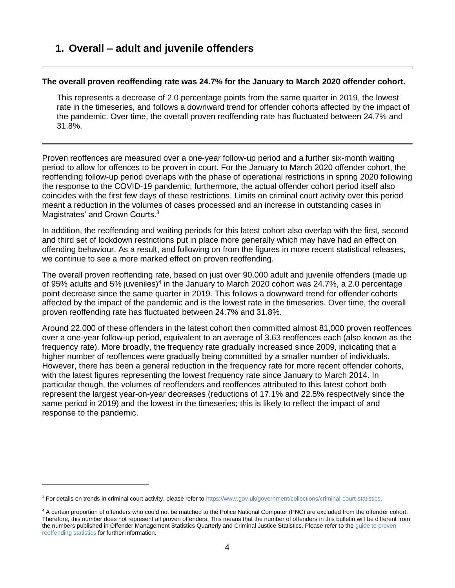### **1. Overall – adult and juvenile offenders**

#### **The overall proven reoffending rate was 24.7% for the January to March 2020 offender cohort.**

This represents a decrease of 2.0 percentage points from the same quarter in 2019, the lowest rate in the timeseries, and follows a downward trend for offender cohorts affected by the impact of the pandemic. Over time, the overall proven reoffending rate has fluctuated between 24.7% and 31.8%.

Proven reoffences are measured over a one-year follow-up period and a further six-month waiting period to allow for offences to be proven in court. For the January to March 2020 offender cohort, the reoffending follow-up period overlaps with the phase of operational restrictions in spring 2020 following the response to the COVID-19 pandemic; furthermore, the actual offender cohort period itself also coincides with the first few days of these restrictions. Limits on criminal court activity over this period meant a reduction in the volumes of cases processed and an increase in outstanding cases in Magistrates' and Crown Courts.<sup>3</sup>

In addition, the reoffending and waiting periods for this latest cohort also overlap with the first, second and third set of lockdown restrictions put in place more generally which may have had an effect on offending behaviour. As a result, and following on from the figures in more recent statistical releases, we continue to see a more marked effect on proven reoffending.

The overall proven reoffending rate, based on just over 90,000 adult and juvenile offenders (made up of 95% adults and 5% juveniles)<sup>4</sup> in the January to March 2020 cohort was 24.7%, a 2.0 percentage point decrease since the same quarter in 2019. This follows a downward trend for offender cohorts affected by the impact of the pandemic and is the lowest rate in the timeseries. Over time, the overall proven reoffending rate has fluctuated between 24.7% and 31.8%.

Around 22,000 of these offenders in the latest cohort then committed almost 81,000 proven reoffences over a one-year follow-up period, equivalent to an average of 3.63 reoffences each (also known as the frequency rate). More broadly, the frequency rate gradually increased since 2009, indicating that a higher number of reoffences were gradually being committed by a smaller number of individuals. However, there has been a general reduction in the frequency rate for more recent offender cohorts, with the latest figures representing the lowest frequency rate since January to March 2014. In particular though, the volumes of reoffenders and reoffences attributed to this latest cohort both represent the largest year-on-year decreases (reductions of 17.1% and 22.5% respectively since the same period in 2019) and the lowest in the timeseries; this is likely to reflect the impact of and response to the pandemic.

<sup>&</sup>lt;sup>3</sup> For details on trends in criminal court activity, please refer t[o https://www.gov.uk/government/collections/criminal-court-statistics.](https://www.gov.uk/government/collections/criminal-court-statistics)

<sup>&</sup>lt;sup>4</sup> A certain proportion of offenders who could not be matched to the Police National Computer (PNC) are excluded from the offender cohort. Therefore, this number does not represent all proven offenders. This means that the number of offenders in this bulletin will be different from the numbers published in Offender Management Statistics Quarterly and Criminal Justice Statistics. Please refer to th[e guide to proven](https://assets.publishing.service.gov.uk/government/uploads/system/uploads/attachment_data/file/820674/guide-to-proven-reoffending-statistics-Jan22.pdf)  [reoffending statistics](https://assets.publishing.service.gov.uk/government/uploads/system/uploads/attachment_data/file/820674/guide-to-proven-reoffending-statistics-Jan22.pdf) for further information.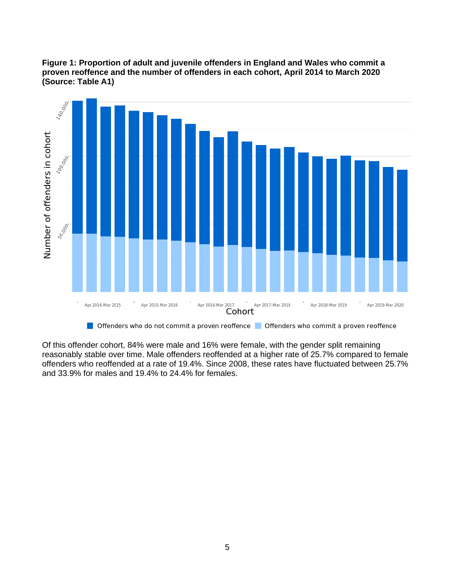



Of this offender cohort, 84% were male and 16% were female, with the gender split remaining reasonably stable over time. Male offenders reoffended at a higher rate of 25.7% compared to female offenders who reoffended at a rate of 19.4%. Since 2008, these rates have fluctuated between 25.7% and 33.9% for males and 19.4% to 24.4% for females.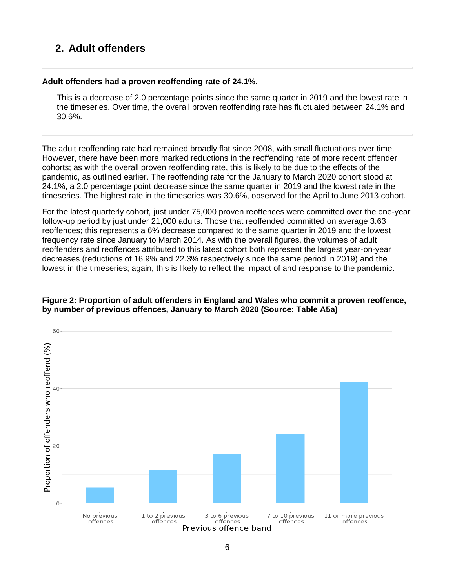## **2. Adult offenders**

#### **Adult offenders had a proven reoffending rate of 24.1%.**

This is a decrease of 2.0 percentage points since the same quarter in 2019 and the lowest rate in the timeseries. Over time, the overall proven reoffending rate has fluctuated between 24.1% and 30.6%.

The adult reoffending rate had remained broadly flat since 2008, with small fluctuations over time. However, there have been more marked reductions in the reoffending rate of more recent offender cohorts; as with the overall proven reoffending rate, this is likely to be due to the effects of the pandemic, as outlined earlier. The reoffending rate for the January to March 2020 cohort stood at 24.1%, a 2.0 percentage point decrease since the same quarter in 2019 and the lowest rate in the timeseries. The highest rate in the timeseries was 30.6%, observed for the April to June 2013 cohort.

For the latest quarterly cohort, just under 75,000 proven reoffences were committed over the one-year follow-up period by just under 21,000 adults. Those that reoffended committed on average 3.63 reoffences; this represents a 6% decrease compared to the same quarter in 2019 and the lowest frequency rate since January to March 2014. As with the overall figures, the volumes of adult reoffenders and reoffences attributed to this latest cohort both represent the largest year-on-year decreases (reductions of 16.9% and 22.3% respectively since the same period in 2019) and the lowest in the timeseries; again, this is likely to reflect the impact of and response to the pandemic.

#### **Figure 2: Proportion of adult offenders in England and Wales who commit a proven reoffence, by number of previous offences, January to March 2020 (Source: Table A5a)**

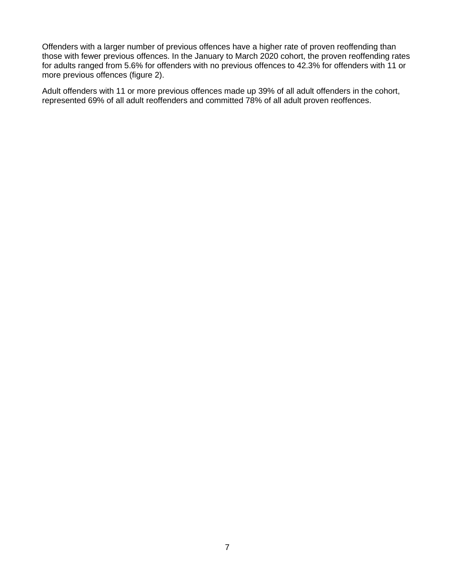Offenders with a larger number of previous offences have a higher rate of proven reoffending than those with fewer previous offences. In the January to March 2020 cohort, the proven reoffending rates for adults ranged from 5.6% for offenders with no previous offences to 42.3% for offenders with 11 or more previous offences (figure 2).

Adult offenders with 11 or more previous offences made up 39% of all adult offenders in the cohort, represented 69% of all adult reoffenders and committed 78% of all adult proven reoffences.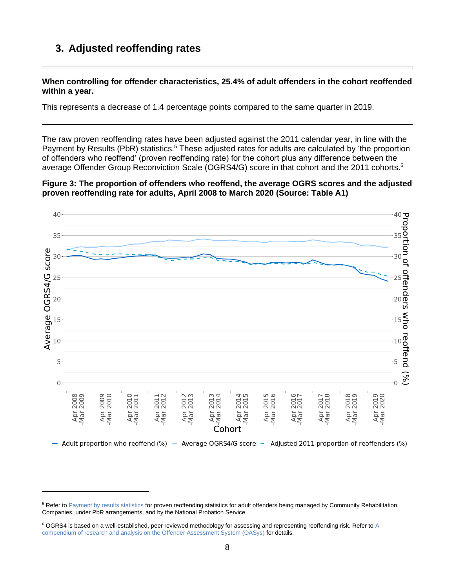## **3. Adjusted reoffending rates**

**When controlling for offender characteristics, 25.4% of adult offenders in the cohort reoffended within a year.**

This represents a decrease of 1.4 percentage points compared to the same quarter in 2019.

The raw proven reoffending rates have been adjusted against the 2011 calendar year, in line with the Payment by Results (PbR) statistics.<sup>5</sup> These adjusted rates for adults are calculated by 'the proportion of offenders who reoffend' (proven reoffending rate) for the cohort plus any difference between the average Offender Group Reconviction Scale (OGRS4/G) score in that cohort and the 2011 cohorts.<sup>6</sup>

**Figure 3: The proportion of offenders who reoffend, the average OGRS scores and the adjusted proven reoffending rate for adults, April 2008 to March 2020 (Source: Table A1)**



<sup>&</sup>lt;sup>5</sup> Refer t[o Payment by results statistics](https://www.gov.uk/government/collections/payment-by-results-statistics) for proven reoffending statistics for adult offenders being managed by Community Rehabilitation Companies, under PbR arrangements, and by the National Probation Service.

<sup>&</sup>lt;sup>6</sup> OGRS4 is based on a well-established, peer reviewed methodology for assessing and representing reoffending risk. Refer to A [compendium of research and analysis on the Offender Assessment System \(OASys\)](https://assets.publishing.service.gov.uk/government/uploads/system/uploads/attachment_data/file/449357/research-analysis-offender-assessment-system.pdf) for details.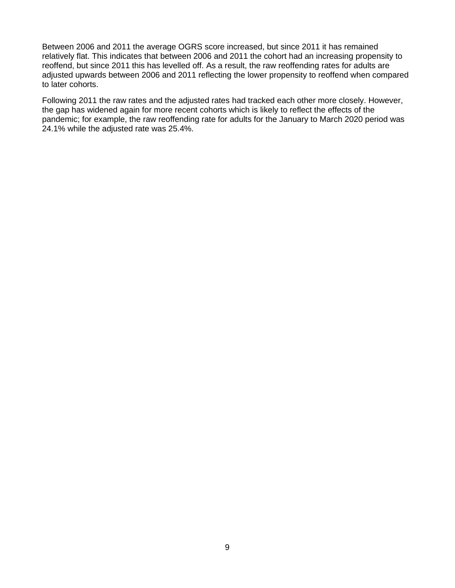Between 2006 and 2011 the average OGRS score increased, but since 2011 it has remained relatively flat. This indicates that between 2006 and 2011 the cohort had an increasing propensity to reoffend, but since 2011 this has levelled off. As a result, the raw reoffending rates for adults are adjusted upwards between 2006 and 2011 reflecting the lower propensity to reoffend when compared to later cohorts.

Following 2011 the raw rates and the adjusted rates had tracked each other more closely. However, the gap has widened again for more recent cohorts which is likely to reflect the effects of the pandemic; for example, the raw reoffending rate for adults for the January to March 2020 period was 24.1% while the adjusted rate was 25.4%.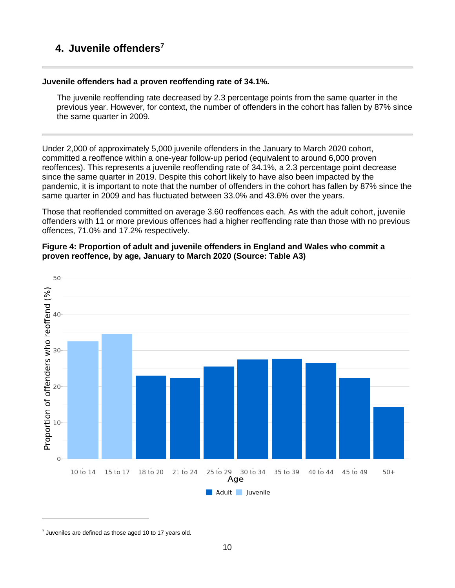## **4. Juvenile offenders<sup>7</sup>**

#### **Juvenile offenders had a proven reoffending rate of 34.1%.**

The juvenile reoffending rate decreased by 2.3 percentage points from the same quarter in the previous year. However, for context, the number of offenders in the cohort has fallen by 87% since the same quarter in 2009.

Under 2,000 of approximately 5,000 juvenile offenders in the January to March 2020 cohort, committed a reoffence within a one-year follow-up period (equivalent to around 6,000 proven reoffences). This represents a juvenile reoffending rate of 34.1%, a 2.3 percentage point decrease since the same quarter in 2019. Despite this cohort likely to have also been impacted by the pandemic, it is important to note that the number of offenders in the cohort has fallen by 87% since the same quarter in 2009 and has fluctuated between 33.0% and 43.6% over the years.

Those that reoffended committed on average 3.60 reoffences each. As with the adult cohort, juvenile offenders with 11 or more previous offences had a higher reoffending rate than those with no previous offences, 71.0% and 17.2% respectively.





 $7$  Juveniles are defined as those aged 10 to 17 years old.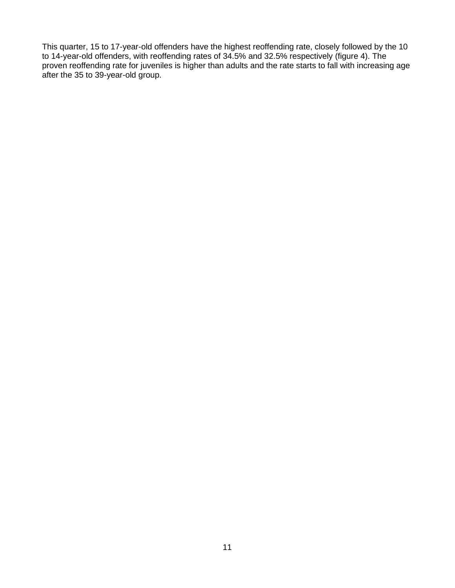This quarter, 15 to 17-year-old offenders have the highest reoffending rate, closely followed by the 10 to 14-year-old offenders, with reoffending rates of 34.5% and 32.5% respectively (figure 4). The proven reoffending rate for juveniles is higher than adults and the rate starts to fall with increasing age after the 35 to 39-year-old group.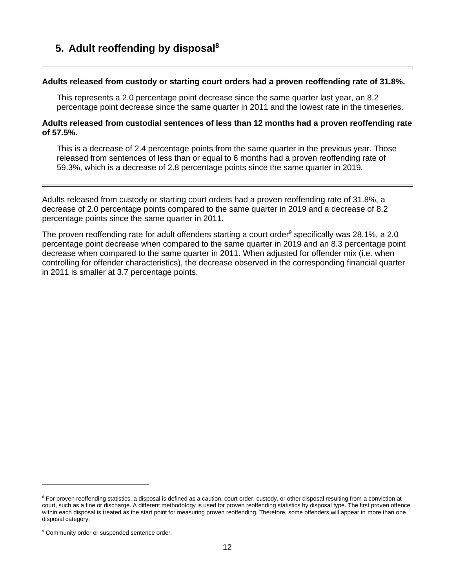## **5. Adult reoffending by disposal<sup>8</sup>**

#### **Adults released from custody or starting court orders had a proven reoffending rate of 31.8%.**

This represents a 2.0 percentage point decrease since the same quarter last year, an 8.2 percentage point decrease since the same quarter in 2011 and the lowest rate in the timeseries.

#### **Adults released from custodial sentences of less than 12 months had a proven reoffending rate of 57.5%.**

This is a decrease of 2.4 percentage points from the same quarter in the previous year. Those released from sentences of less than or equal to 6 months had a proven reoffending rate of 59.3%, which is a decrease of 2.8 percentage points since the same quarter in 2019.

Adults released from custody or starting court orders had a proven reoffending rate of 31.8%, a decrease of 2.0 percentage points compared to the same quarter in 2019 and a decrease of 8.2 percentage points since the same quarter in 2011.

The proven reoffending rate for adult offenders starting a court order<sup>9</sup> specifically was 28.1%, a 2.0 percentage point decrease when compared to the same quarter in 2019 and an 8.3 percentage point decrease when compared to the same quarter in 2011. When adjusted for offender mix (i.e. when controlling for offender characteristics), the decrease observed in the corresponding financial quarter in 2011 is smaller at 3.7 percentage points.

<sup>&</sup>lt;sup>8</sup> For proven reoffending statistics, a disposal is defined as a caution, court order, custody, or other disposal resulting from a conviction at court, such as a fine or discharge. A different methodology is used for proven reoffending statistics by disposal type. The first proven offence within each disposal is treated as the start point for measuring proven reoffending. Therefore, some offenders will appear in more than one disposal category.

<sup>&</sup>lt;sup>9</sup> Community order or suspended sentence order.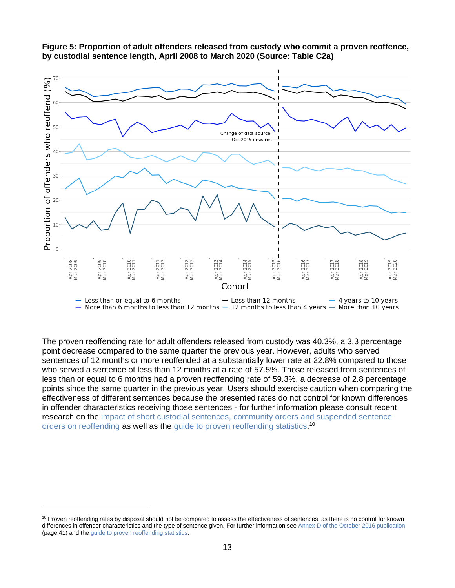



The proven reoffending rate for adult offenders released from custody was 40.3%, a 3.3 percentage point decrease compared to the same quarter the previous year. However, adults who served sentences of 12 months or more reoffended at a substantially lower rate at 22.8% compared to those who served a sentence of less than 12 months at a rate of 57.5%. Those released from sentences of less than or equal to 6 months had a proven reoffending rate of 59.3%, a decrease of 2.8 percentage points since the same quarter in the previous year. Users should exercise caution when comparing the effectiveness of different sentences because the presented rates do not control for known differences in offender characteristics receiving those sentences - for further information please consult recent research on the [impact of short custodial sentences, community orders and suspended sentence](https://www.gov.uk/government/publications/impact-of-short-custodial-sentences-community-orders-and-suspended-sentence-orders-on-reoffending)  [orders on reoffending](https://www.gov.uk/government/publications/impact-of-short-custodial-sentences-community-orders-and-suspended-sentence-orders-on-reoffending) as well as the [guide to proven reoffending statistics.](https://assets.publishing.service.gov.uk/government/uploads/system/uploads/attachment_data/file/820674/guide-to-proven-reoffending-statistics-Jan22.pdf)<sup>10</sup>

<sup>&</sup>lt;sup>10</sup> Proven reoffending rates by disposal should not be compared to assess the effectiveness of sentences, as there is no control for known differences in offender characteristics and the type of sentence given. For further information se[e Annex D of the October 2016 publication](https://assets.publishing.service.gov.uk/government/uploads/system/uploads/attachment_data/file/563185/proven-reoffending-2014.pdf) (page 41) and the [guide to proven reoffending statistics.](https://assets.publishing.service.gov.uk/government/uploads/system/uploads/attachment_data/file/820674/guide-to-proven-reoffending-statistics-Jan22.pdf)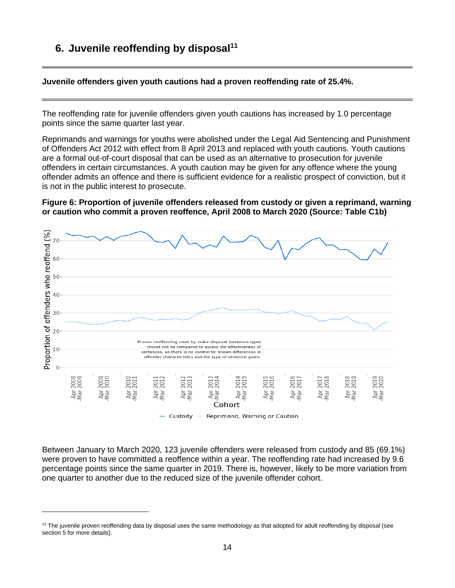## **6. Juvenile reoffending by disposal<sup>11</sup>**

**Juvenile offenders given youth cautions had a proven reoffending rate of 25.4%.**

The reoffending rate for juvenile offenders given youth cautions has increased by 1.0 percentage points since the same quarter last year.

Reprimands and warnings for youths were abolished under the Legal Aid Sentencing and Punishment of Offenders Act 2012 with effect from 8 April 2013 and replaced with youth cautions. Youth cautions are a formal out-of-court disposal that can be used as an alternative to prosecution for juvenile offenders in certain circumstances. A youth caution may be given for any offence where the young offender admits an offence and there is sufficient evidence for a realistic prospect of conviction, but it is not in the public interest to prosecute.

**Figure 6: Proportion of juvenile offenders released from custody or given a reprimand, warning or caution who commit a proven reoffence, April 2008 to March 2020 (Source: Table C1b)**



Between January to March 2020, 123 juvenile offenders were released from custody and 85 (69.1%) were proven to have committed a reoffence within a year. The reoffending rate had increased by 9.6 percentage points since the same quarter in 2019. There is, however, likely to be more variation from one quarter to another due to the reduced size of the juvenile offender cohort.

<sup>&</sup>lt;sup>11</sup> The juvenile proven reoffending data by disposal uses the same methodology as that adopted for adult reoffending by disposal (see section 5 for more details).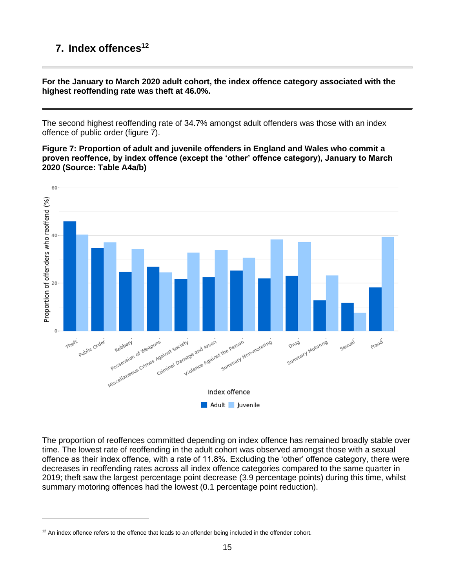## **7. Index offences<sup>12</sup>**

**For the January to March 2020 adult cohort, the index offence category associated with the highest reoffending rate was theft at 46.0%.**

The second highest reoffending rate of 34.7% amongst adult offenders was those with an index offence of public order (figure 7).

**Figure 7: Proportion of adult and juvenile offenders in England and Wales who commit a proven reoffence, by index offence (except the 'other' offence category), January to March 2020 (Source: Table A4a/b)**



The proportion of reoffences committed depending on index offence has remained broadly stable over time. The lowest rate of reoffending in the adult cohort was observed amongst those with a sexual offence as their index offence, with a rate of 11.8%. Excluding the 'other' offence category, there were decreases in reoffending rates across all index offence categories compared to the same quarter in 2019; theft saw the largest percentage point decrease (3.9 percentage points) during this time, whilst summary motoring offences had the lowest (0.1 percentage point reduction).

 $12$  An index offence refers to the offence that leads to an offender being included in the offender cohort.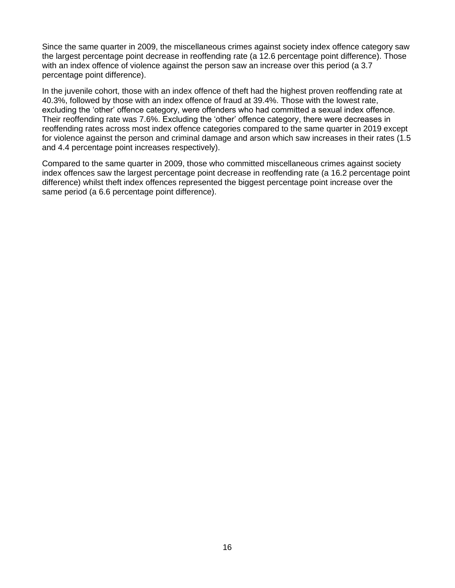Since the same quarter in 2009, the miscellaneous crimes against society index offence category saw the largest percentage point decrease in reoffending rate (a 12.6 percentage point difference). Those with an index offence of violence against the person saw an increase over this period (a 3.7 percentage point difference).

In the juvenile cohort, those with an index offence of theft had the highest proven reoffending rate at 40.3%, followed by those with an index offence of fraud at 39.4%. Those with the lowest rate, excluding the 'other' offence category, were offenders who had committed a sexual index offence. Their reoffending rate was 7.6%. Excluding the 'other' offence category, there were decreases in reoffending rates across most index offence categories compared to the same quarter in 2019 except for violence against the person and criminal damage and arson which saw increases in their rates (1.5 and 4.4 percentage point increases respectively).

Compared to the same quarter in 2009, those who committed miscellaneous crimes against society index offences saw the largest percentage point decrease in reoffending rate (a 16.2 percentage point difference) whilst theft index offences represented the biggest percentage point increase over the same period (a 6.6 percentage point difference).